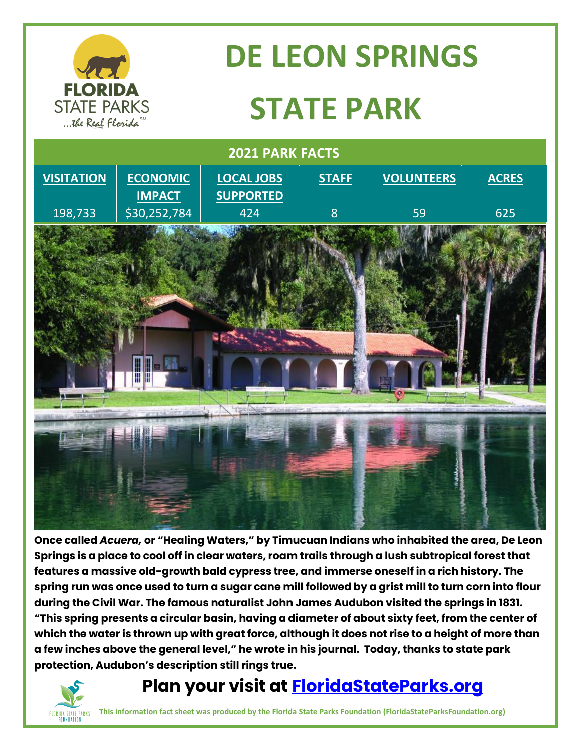

## **DE LEON SPRINGS STATE PARK**



**Once called** *Acuera,* **or "Healing Waters," by Timucuan Indians who inhabited the area, De Leon Springs is a place to cool off in clear waters, roam trails through a lush subtropical forest that features a massive old-growth bald cypress tree, and immerse oneself in a rich history. The spring run was once used to turn a sugar cane mill followed by a grist mill to turn corn into flour during the Civil War. The famous naturalist John James Audubon visited the springs in 1831. "This spring presents a circular basin, having a diameter of about sixty feet, from the center of which the water is thrown up with great force, although it does not rise to a height of more than a few inches above the general level," he wrote in his journal. Today, thanks to state park protection, Audubon's description still rings true.**

# **FOUNDATION**

### **Plan your visit at<FloridaStateParks.org>**

**This information fact sheet was produced by the Florida State Parks Foundation (FloridaStateParksFoundation.org)**